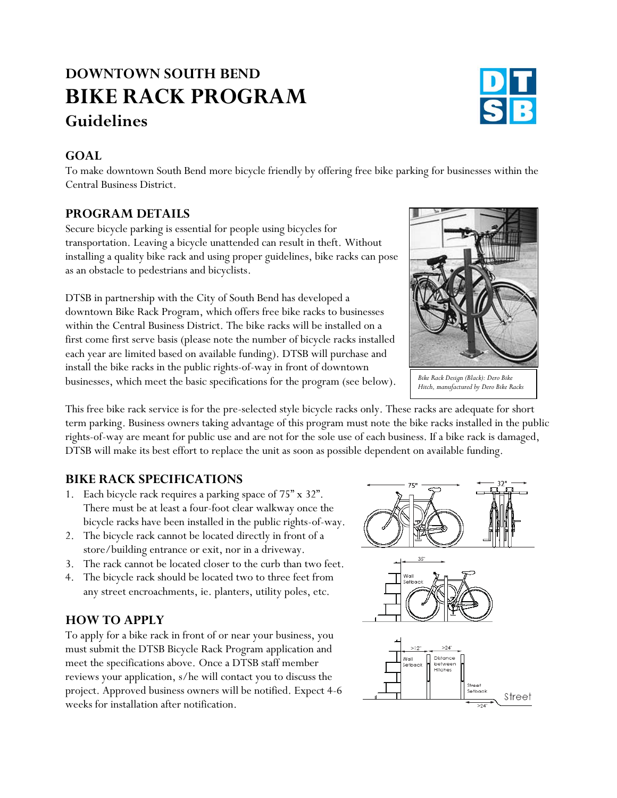# **DOWNTOWN SOUTH BEND BIKE RACK PROGRAM Guidelines**

#### **GOAL**

To make downtown South Bend more bicycle friendly by offering free bike parking for businesses within the Central Business District.

#### **PROGRAM DETAILS**

Secure bicycle parking is essential for people using bicycles for transportation. Leaving a bicycle unattended can result in theft. Without installing a quality bike rack and using proper guidelines, bike racks can pose as an obstacle to pedestrians and bicyclists.

DTSB in partnership with the City of South Bend has developed a downtown Bike Rack Program, which offers free bike racks to businesses within the Central Business District. The bike racks will be installed on a first come first serve basis (please note the number of bicycle racks installed each year are limited based on available funding). DTSB will purchase and install the bike racks in the public rights-of-way in front of downtown businesses, which meet the basic specifications for the program (see below). *Bike Rack Design (Black): Dero Bike Hitch, manufactured by Dero Bike Racks*

This free bike rack service is for the pre-selected style bicycle racks only. These racks are adequate for short term parking. Business owners taking advantage of this program must note the bike racks installed in the public rights-of-way are meant for public use and are not for the sole use of each business. If a bike rack is damaged, DTSB will make its best effort to replace the unit as soon as possible dependent on available funding.

### **BIKE RACK SPECIFICATIONS**

- 1. Each bicycle rack requires a parking space of 75" x 32". There must be at least a four-foot clear walkway once the bicycle racks have been installed in the public rights-of-way.
- 2. The bicycle rack cannot be located directly in front of a store/building entrance or exit, nor in a driveway.
- 3. The rack cannot be located closer to the curb than two feet.
- 4. The bicycle rack should be located two to three feet from any street encroachments, ie. planters, utility poles, etc.

### **HOW TO APPLY**

To apply for a bike rack in front of or near your business, you must submit the DTSB Bicycle Rack Program application and meet the specifications above. Once a DTSB staff member reviews your application, s/he will contact you to discuss the project. Approved business owners will be notified. Expect 4-6 weeks for installation after notification.